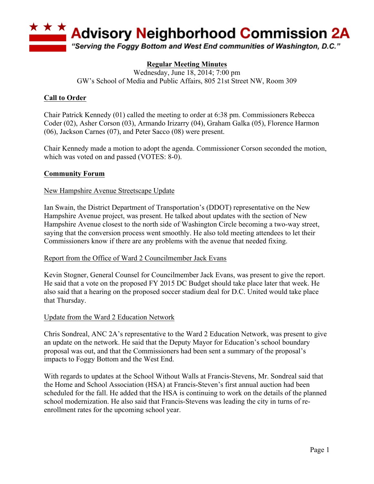

# **Regular Meeting Minutes**

Wednesday, June 18, 2014; 7:00 pm GW's School of Media and Public Affairs, 805 21st Street NW, Room 309

# **Call to Order**

Chair Patrick Kennedy (01) called the meeting to order at 6:38 pm. Commissioners Rebecca Coder (02), Asher Corson (03), Armando Irizarry (04), Graham Galka (05), Florence Harmon (06), Jackson Carnes (07), and Peter Sacco (08) were present.

Chair Kennedy made a motion to adopt the agenda. Commissioner Corson seconded the motion, which was voted on and passed (VOTES: 8-0).

### **Community Forum**

### New Hampshire Avenue Streetscape Update

Ian Swain, the District Department of Transportation's (DDOT) representative on the New Hampshire Avenue project, was present. He talked about updates with the section of New Hampshire Avenue closest to the north side of Washington Circle becoming a two-way street, saying that the conversion process went smoothly. He also told meeting attendees to let their Commissioners know if there are any problems with the avenue that needed fixing.

### Report from the Office of Ward 2 Councilmember Jack Evans

Kevin Stogner, General Counsel for Councilmember Jack Evans, was present to give the report. He said that a vote on the proposed FY 2015 DC Budget should take place later that week. He also said that a hearing on the proposed soccer stadium deal for D.C. United would take place that Thursday.

### Update from the Ward 2 Education Network

Chris Sondreal, ANC 2A's representative to the Ward 2 Education Network, was present to give an update on the network. He said that the Deputy Mayor for Education's school boundary proposal was out, and that the Commissioners had been sent a summary of the proposal's impacts to Foggy Bottom and the West End.

With regards to updates at the School Without Walls at Francis-Stevens, Mr. Sondreal said that the Home and School Association (HSA) at Francis-Steven's first annual auction had been scheduled for the fall. He added that the HSA is continuing to work on the details of the planned school modernization. He also said that Francis-Stevens was leading the city in turns of reenrollment rates for the upcoming school year.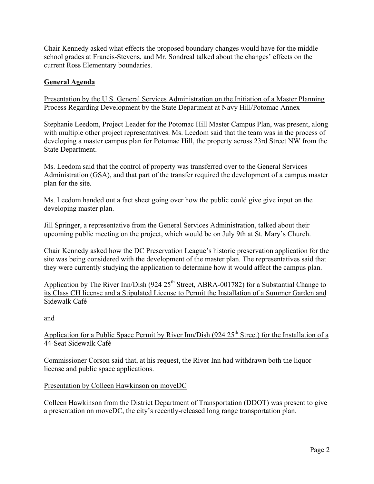Chair Kennedy asked what effects the proposed boundary changes would have for the middle school grades at Francis-Stevens, and Mr. Sondreal talked about the changes' effects on the current Ross Elementary boundaries.

# **General Agenda**

Presentation by the U.S. General Services Administration on the Initiation of a Master Planning Process Regarding Development by the State Department at Navy Hill/Potomac Annex

Stephanie Leedom, Project Leader for the Potomac Hill Master Campus Plan, was present, along with multiple other project representatives. Ms. Leedom said that the team was in the process of developing a master campus plan for Potomac Hill, the property across 23rd Street NW from the State Department.

Ms. Leedom said that the control of property was transferred over to the General Services Administration (GSA), and that part of the transfer required the development of a campus master plan for the site.

Ms. Leedom handed out a fact sheet going over how the public could give give input on the developing master plan.

Jill Springer, a representative from the General Services Administration, talked about their upcoming public meeting on the project, which would be on July 9th at St. Mary's Church.

Chair Kennedy asked how the DC Preservation League's historic preservation application for the site was being considered with the development of the master plan. The representatives said that they were currently studying the application to determine how it would affect the campus plan.

Application by The River Inn/Dish (924  $25<sup>th</sup>$  Street, ABRA-001782) for a Substantial Change to its Class CH license and a Stipulated License to Permit the Installation of a Summer Garden and Sidewalk Café

and

# Application for a Public Space Permit by River Inn/Dish (924  $25<sup>th</sup>$  Street) for the Installation of a 44-Seat Sidewalk Café

Commissioner Corson said that, at his request, the River Inn had withdrawn both the liquor license and public space applications.

# Presentation by Colleen Hawkinson on moveDC

Colleen Hawkinson from the District Department of Transportation (DDOT) was present to give a presentation on moveDC, the city's recently-released long range transportation plan.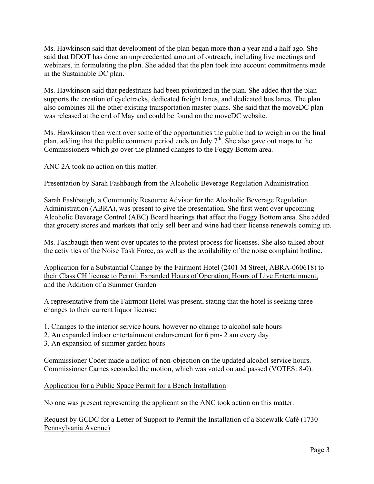Ms. Hawkinson said that development of the plan began more than a year and a half ago. She said that DDOT has done an unprecedented amount of outreach, including live meetings and webinars, in formulating the plan. She added that the plan took into account commitments made in the Sustainable DC plan.

Ms. Hawkinson said that pedestrians had been prioritized in the plan. She added that the plan supports the creation of cycletracks, dedicated freight lanes, and dedicated bus lanes. The plan also combines all the other existing transportation master plans. She said that the moveDC plan was released at the end of May and could be found on the moveDC website.

Ms. Hawkinson then went over some of the opportunities the public had to weigh in on the final plan, adding that the public comment period ends on July  $7<sup>th</sup>$ . She also gave out maps to the Commissioners which go over the planned changes to the Foggy Bottom area.

ANC 2A took no action on this matter.

### Presentation by Sarah Fashbaugh from the Alcoholic Beverage Regulation Administration

Sarah Fashbaugh, a Community Resource Advisor for the Alcoholic Beverage Regulation Administration (ABRA), was present to give the presentation. She first went over upcoming Alcoholic Beverage Control (ABC) Board hearings that affect the Foggy Bottom area. She added that grocery stores and markets that only sell beer and wine had their license renewals coming up.

Ms. Fashbaugh then went over updates to the protest process for licenses. She also talked about the activities of the Noise Task Force, as well as the availability of the noise complaint hotline.

Application for a Substantial Change by the Fairmont Hotel (2401 M Street, ABRA-060618) to their Class CH license to Permit Expanded Hours of Operation, Hours of Live Entertainment, and the Addition of a Summer Garden

A representative from the Fairmont Hotel was present, stating that the hotel is seeking three changes to their current liquor license:

- 1. Changes to the interior service hours, however no change to alcohol sale hours
- 2. An expanded indoor entertainment endorsement for 6 pm- 2 am every day
- 3. An expansion of summer garden hours

Commissioner Coder made a notion of non-objection on the updated alcohol service hours. Commissioner Carnes seconded the motion, which was voted on and passed (VOTES: 8-0).

#### Application for a Public Space Permit for a Bench Installation

No one was present representing the applicant so the ANC took action on this matter.

Request by GCDC for a Letter of Support to Permit the Installation of a Sidewalk Café (1730 Pennsylvania Avenue)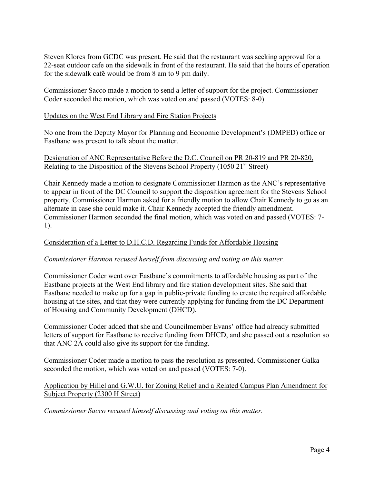Steven Klores from GCDC was present. He said that the restaurant was seeking approval for a 22-seat outdoor cafe on the sidewalk in front of the restaurant. He said that the hours of operation for the sidewalk café would be from 8 am to 9 pm daily.

Commissioner Sacco made a motion to send a letter of support for the project. Commissioner Coder seconded the motion, which was voted on and passed (VOTES: 8-0).

### Updates on the West End Library and Fire Station Projects

No one from the Deputy Mayor for Planning and Economic Development's (DMPED) office or Eastbanc was present to talk about the matter.

### Designation of ANC Representative Before the D.C. Council on PR 20-819 and PR 20-820, Relating to the Disposition of the Stevens School Property (1050  $21<sup>st</sup>$  Street)

Chair Kennedy made a motion to designate Commissioner Harmon as the ANC's representative to appear in front of the DC Council to support the disposition agreement for the Stevens School property. Commissioner Harmon asked for a friendly motion to allow Chair Kennedy to go as an alternate in case she could make it. Chair Kennedy accepted the friendly amendment. Commissioner Harmon seconded the final motion, which was voted on and passed (VOTES: 7- 1).

### Consideration of a Letter to D.H.C.D. Regarding Funds for Affordable Housing

### *Commissioner Harmon recused herself from discussing and voting on this matter.*

Commissioner Coder went over Eastbanc's commitments to affordable housing as part of the Eastbanc projects at the West End library and fire station development sites. She said that Eastbanc needed to make up for a gap in public-private funding to create the required affordable housing at the sites, and that they were currently applying for funding from the DC Department of Housing and Community Development (DHCD).

Commissioner Coder added that she and Councilmember Evans' office had already submitted letters of support for Eastbanc to receive funding from DHCD, and she passed out a resolution so that ANC 2A could also give its support for the funding.

Commissioner Coder made a motion to pass the resolution as presented. Commissioner Galka seconded the motion, which was voted on and passed (VOTES: 7-0).

### Application by Hillel and G.W.U. for Zoning Relief and a Related Campus Plan Amendment for Subject Property (2300 H Street)

*Commissioner Sacco recused himself discussing and voting on this matter.*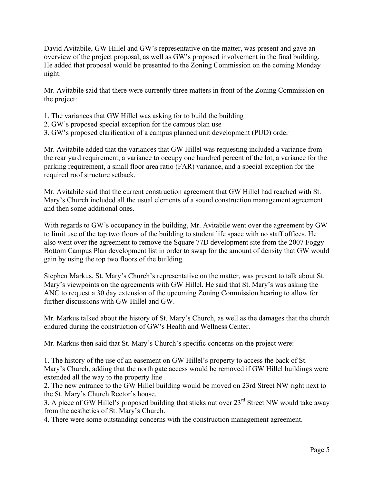David Avitabile, GW Hillel and GW's representative on the matter, was present and gave an overview of the project proposal, as well as GW's proposed involvement in the final building. He added that proposal would be presented to the Zoning Commission on the coming Monday night.

Mr. Avitabile said that there were currently three matters in front of the Zoning Commission on the project:

- 1. The variances that GW Hillel was asking for to build the building
- 2. GW's proposed special exception for the campus plan use
- 3. GW's proposed clarification of a campus planned unit development (PUD) order

Mr. Avitabile added that the variances that GW Hillel was requesting included a variance from the rear yard requirement, a variance to occupy one hundred percent of the lot, a variance for the parking requirement, a small floor area ratio (FAR) variance, and a special exception for the required roof structure setback.

Mr. Avitabile said that the current construction agreement that GW Hillel had reached with St. Mary's Church included all the usual elements of a sound construction management agreement and then some additional ones.

With regards to GW's occupancy in the building, Mr. Avitabile went over the agreement by GW to limit use of the top two floors of the building to student life space with no staff offices. He also went over the agreement to remove the Square 77D development site from the 2007 Foggy Bottom Campus Plan development list in order to swap for the amount of density that GW would gain by using the top two floors of the building.

Stephen Markus, St. Mary's Church's representative on the matter, was present to talk about St. Mary's viewpoints on the agreements with GW Hillel. He said that St. Mary's was asking the ANC to request a 30 day extension of the upcoming Zoning Commission hearing to allow for further discussions with GW Hillel and GW.

Mr. Markus talked about the history of St. Mary's Church, as well as the damages that the church endured during the construction of GW's Health and Wellness Center.

Mr. Markus then said that St. Mary's Church's specific concerns on the project were:

1. The history of the use of an easement on GW Hillel's property to access the back of St. Mary's Church, adding that the north gate access would be removed if GW Hillel buildings were extended all the way to the property line

2. The new entrance to the GW Hillel building would be moved on 23rd Street NW right next to the St. Mary's Church Rector's house.

3. A piece of GW Hillel's proposed building that sticks out over 23<sup>rd</sup> Street NW would take away from the aesthetics of St. Mary's Church.

4. There were some outstanding concerns with the construction management agreement.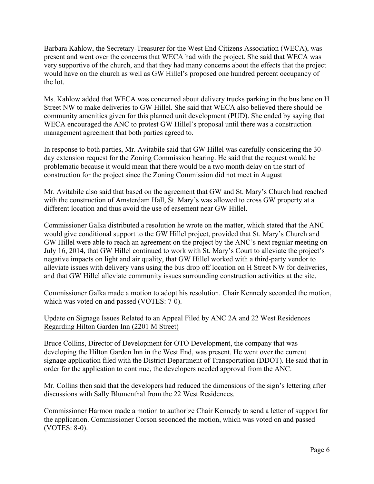Barbara Kahlow, the Secretary-Treasurer for the West End Citizens Association (WECA), was present and went over the concerns that WECA had with the project. She said that WECA was very supportive of the church, and that they had many concerns about the effects that the project would have on the church as well as GW Hillel's proposed one hundred percent occupancy of the lot.

Ms. Kahlow added that WECA was concerned about delivery trucks parking in the bus lane on H Street NW to make deliveries to GW Hillel. She said that WECA also believed there should be community amenities given for this planned unit development (PUD). She ended by saying that WECA encouraged the ANC to protest GW Hillel's proposal until there was a construction management agreement that both parties agreed to.

In response to both parties, Mr. Avitabile said that GW Hillel was carefully considering the 30 day extension request for the Zoning Commission hearing. He said that the request would be problematic because it would mean that there would be a two month delay on the start of construction for the project since the Zoning Commission did not meet in August

Mr. Avitabile also said that based on the agreement that GW and St. Mary's Church had reached with the construction of Amsterdam Hall, St. Mary's was allowed to cross GW property at a different location and thus avoid the use of easement near GW Hillel.

Commissioner Galka distributed a resolution he wrote on the matter, which stated that the ANC would give conditional support to the GW Hillel project, provided that St. Mary's Church and GW Hillel were able to reach an agreement on the project by the ANC's next regular meeting on July 16, 2014, that GW Hillel continued to work with St. Mary's Court to alleviate the project's negative impacts on light and air quality, that GW Hillel worked with a third-party vendor to alleviate issues with delivery vans using the bus drop off location on H Street NW for deliveries, and that GW Hillel alleviate community issues surrounding construction activities at the site.

Commissioner Galka made a motion to adopt his resolution. Chair Kennedy seconded the motion, which was voted on and passed (VOTES: 7-0).

### Update on Signage Issues Related to an Appeal Filed by ANC 2A and 22 West Residences Regarding Hilton Garden Inn (2201 M Street)

Bruce Collins, Director of Development for OTO Development, the company that was developing the Hilton Garden Inn in the West End, was present. He went over the current signage application filed with the District Department of Transportation (DDOT). He said that in order for the application to continue, the developers needed approval from the ANC.

Mr. Collins then said that the developers had reduced the dimensions of the sign's lettering after discussions with Sally Blumenthal from the 22 West Residences.

Commissioner Harmon made a motion to authorize Chair Kennedy to send a letter of support for the application. Commissioner Corson seconded the motion, which was voted on and passed (VOTES: 8-0).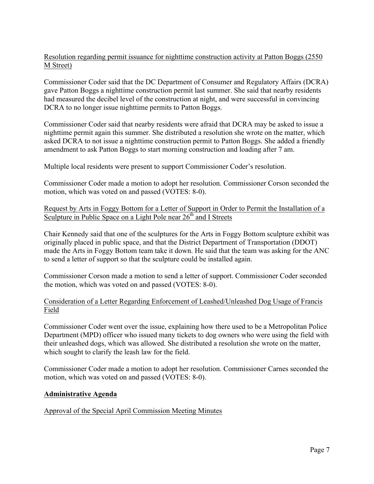# Resolution regarding permit issuance for nighttime construction activity at Patton Boggs (2550 M Street)

Commissioner Coder said that the DC Department of Consumer and Regulatory Affairs (DCRA) gave Patton Boggs a nighttime construction permit last summer. She said that nearby residents had measured the decibel level of the construction at night, and were successful in convincing DCRA to no longer issue nighttime permits to Patton Boggs.

Commissioner Coder said that nearby residents were afraid that DCRA may be asked to issue a nighttime permit again this summer. She distributed a resolution she wrote on the matter, which asked DCRA to not issue a nighttime construction permit to Patton Boggs. She added a friendly amendment to ask Patton Boggs to start morning construction and loading after 7 am.

Multiple local residents were present to support Commissioner Coder's resolution.

Commissioner Coder made a motion to adopt her resolution. Commissioner Corson seconded the motion, which was voted on and passed (VOTES: 8-0).

# Request by Arts in Foggy Bottom for a Letter of Support in Order to Permit the Installation of a Sculpture in Public Space on a Light Pole near  $26<sup>th</sup>$  and I Streets

Chair Kennedy said that one of the sculptures for the Arts in Foggy Bottom sculpture exhibit was originally placed in public space, and that the District Department of Transportation (DDOT) made the Arts in Foggy Bottom team take it down. He said that the team was asking for the ANC to send a letter of support so that the sculpture could be installed again.

Commissioner Corson made a motion to send a letter of support. Commissioner Coder seconded the motion, which was voted on and passed (VOTES: 8-0).

# Consideration of a Letter Regarding Enforcement of Leashed/Unleashed Dog Usage of Francis Field

Commissioner Coder went over the issue, explaining how there used to be a Metropolitan Police Department (MPD) officer who issued many tickets to dog owners who were using the field with their unleashed dogs, which was allowed. She distributed a resolution she wrote on the matter, which sought to clarify the leash law for the field.

Commissioner Coder made a motion to adopt her resolution. Commissioner Carnes seconded the motion, which was voted on and passed (VOTES: 8-0).

# **Administrative Agenda**

# Approval of the Special April Commission Meeting Minutes